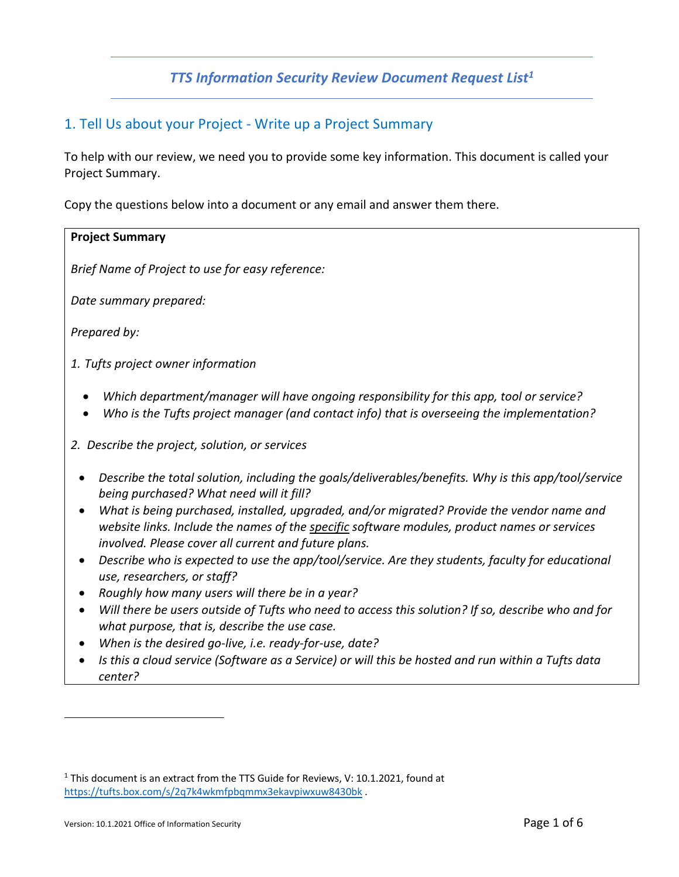## **TTS Information Security Review Document Request List<sup>1</sup>**

## 1. Tell Us about your Project - Write up a Project Summary

To help with our review, we need you to provide some key information. This document is called your Project Summary.

Copy the questions below into a document or any email and answer them there.

## **Project Summary**

*Brief Name of Project to use for easy reference:*

*Date summary prepared:* 

*Prepared by:*

*1. Tufts project owner information*

- *Which department/manager will have ongoing responsibility for this app, tool or service?*
- *Who is the Tufts project manager (and contact info) that is overseeing the implementation?*
- *2. Describe the project, solution, or services*
	- *Describe the total solution, including the goals/deliverables/benefits. Why is this app/tool/service being purchased? What need will it fill?*
	- *What is being purchased, installed, upgraded, and/or migrated? Provide the vendor name and website links. Include the names of the specific software modules, product names or services involved. Please cover all current and future plans.*
	- *Describe who is expected to use the app/tool/service. Are they students, faculty for educational use, researchers, or staff?*
	- *Roughly how many users will there be in a year?*
	- *Will there be users outside of Tufts who need to access this solution? If so, describe who and for what purpose, that is, describe the use case.*
	- *When is the desired go-live, i.e. ready-for-use, date?*
	- *Is this a cloud service (Software as a Service) or will this be hosted and run within a Tufts data center?*

<sup>&</sup>lt;sup>1</sup> This document is an extract from the TTS Guide for Reviews, V: 10.1.2021, found at https://tufts.box.com/s/2q7k4wkmfpbqmmx3ekavpiwxuw8430bk .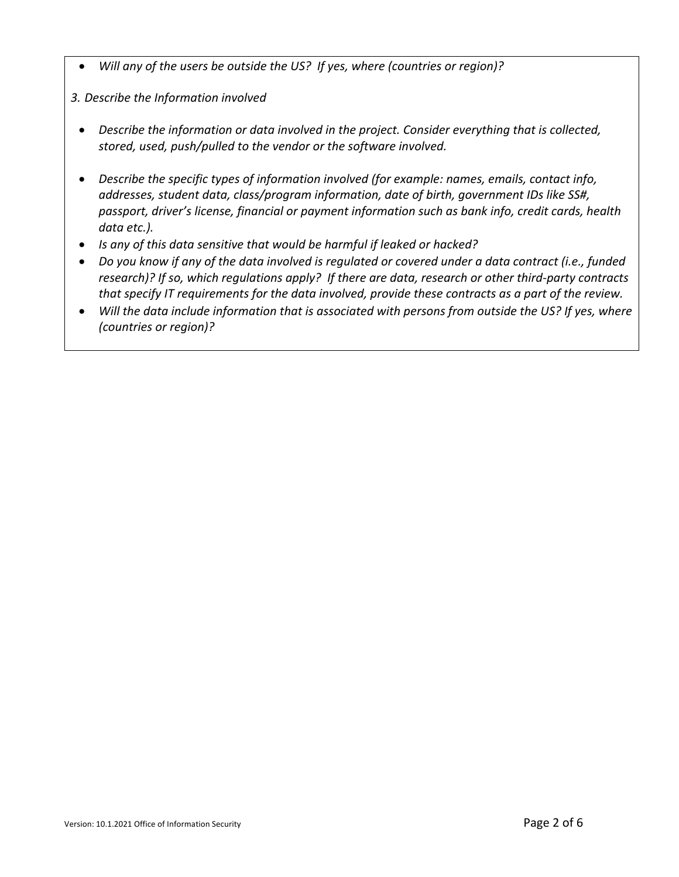• *Will any of the users be outside the US? If yes, where (countries or region)?* 

*3. Describe the Information involved*

- *Describe the information or data involved in the project. Consider everything that is collected, stored, used, push/pulled to the vendor or the software involved.*
- *Describe the specific types of information involved (for example: names, emails, contact info, addresses, student data, class/program information, date of birth, government IDs like SS#, passport, driver's license, financial or payment information such as bank info, credit cards, health data etc.).*
- *Is any of this data sensitive that would be harmful if leaked or hacked?*
- *Do you know if any of the data involved is regulated or covered under a data contract (i.e., funded research)? If so, which regulations apply? If there are data, research or other third-party contracts that specify IT requirements for the data involved, provide these contracts as a part of the review.*
- *Will the data include information that is associated with persons from outside the US? If yes, where (countries or region)?*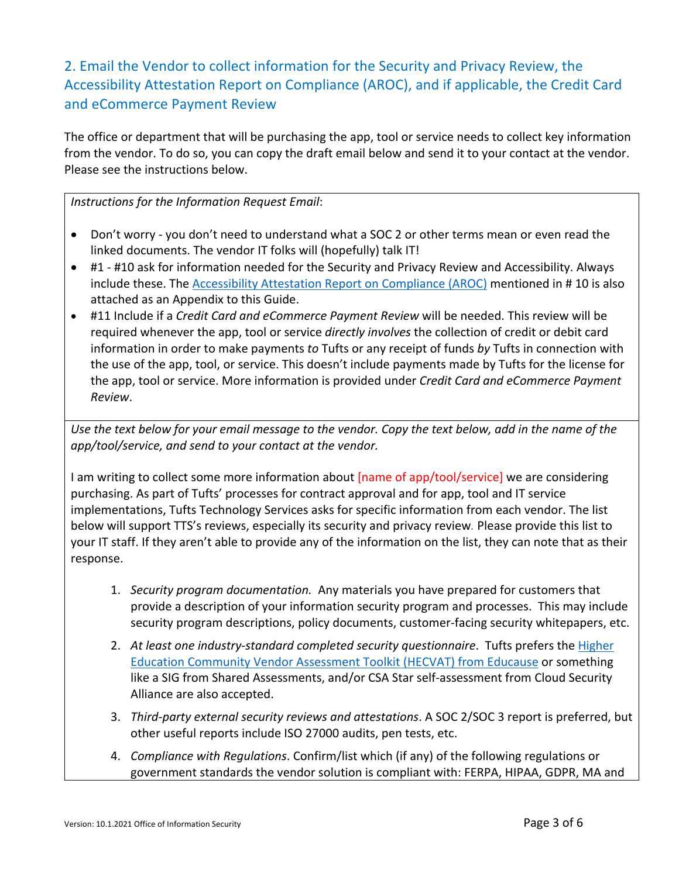2. Email the Vendor to collect information for the Security and Privacy Review, the Accessibility Attestation Report on Compliance (AROC), and if applicable, the Credit Card and eCommerce Payment Review

The office or department that will be purchasing the app, tool or service needs to collect key information from the vendor. To do so, you can copy the draft email below and send it to your contact at the vendor. Please see the instructions below.

*Instructions for the Information Request Email*:

- Don't worry you don't need to understand what a SOC 2 or other terms mean or even read the linked documents. The vendor IT folks will (hopefully) talk IT!
- #1 #10 ask for information needed for the Security and Privacy Review and Accessibility. Always include these. The Accessibility Attestation Report on Compliance (AROC) mentioned in # 10 is also attached as an Appendix to this Guide.
- #11 Include if a *Credit Card and eCommerce Payment Review* will be needed. This review will be required whenever the app, tool or service *directly involves* the collection of credit or debit card information in order to make payments *to* Tufts or any receipt of funds *by* Tufts in connection with the use of the app, tool, or service. This doesn't include payments made by Tufts for the license for the app, tool or service. More information is provided under *Credit Card and eCommerce Payment Review*.

*Use the text below for your email message to the vendor. Copy the text below, add in the name of the app/tool/service, and send to your contact at the vendor.*

I am writing to collect some more information about [name of app/tool/service] we are considering purchasing. As part of Tufts' processes for contract approval and for app, tool and IT service implementations, Tufts Technology Services asks for specific information from each vendor. The list below will support TTS's reviews, especially its security and privacy review*.* Please provide this list to your IT staff. If they aren't able to provide any of the information on the list, they can note that as their response.

- 1. *Security program documentation.* Any materials you have prepared for customers that provide a description of your information security program and processes. This may include security program descriptions, policy documents, customer-facing security whitepapers, etc.
- 2. *At least one industry-standard completed security questionnaire*. Tufts prefers the Higher Education Community Vendor Assessment Toolkit (HECVAT) from Educause or something like a SIG from Shared Assessments, and/or CSA Star self-assessment from Cloud Security Alliance are also accepted.
- 3. *Third-party external security reviews and attestations*. A SOC 2/SOC 3 report is preferred, but other useful reports include ISO 27000 audits, pen tests, etc.
- 4. *Compliance with Regulations*. Confirm/list which (if any) of the following regulations or government standards the vendor solution is compliant with: FERPA, HIPAA, GDPR, MA and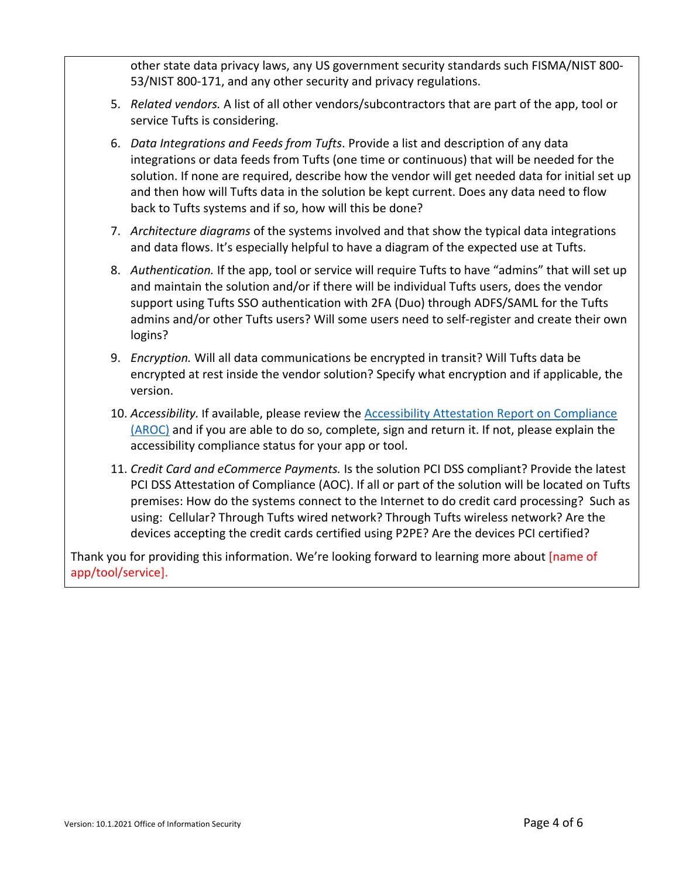other state data privacy laws, any US government security standards such FISMA/NIST 800- 53/NIST 800-171, and any other security and privacy regulations.

- 5. *Related vendors.* A list of all other vendors/subcontractors that are part of the app, tool or service Tufts is considering.
- 6. *Data Integrations and Feeds from Tufts*. Provide a list and description of any data integrations or data feeds from Tufts (one time or continuous) that will be needed for the solution. If none are required, describe how the vendor will get needed data for initial set up and then how will Tufts data in the solution be kept current. Does any data need to flow back to Tufts systems and if so, how will this be done?
- 7. *Architecture diagrams* of the systems involved and that show the typical data integrations and data flows. It's especially helpful to have a diagram of the expected use at Tufts.
- 8. *Authentication.* If the app, tool or service will require Tufts to have "admins" that will set up and maintain the solution and/or if there will be individual Tufts users, does the vendor support using Tufts SSO authentication with 2FA (Duo) through ADFS/SAML for the Tufts admins and/or other Tufts users? Will some users need to self-register and create their own logins?
- 9. *Encryption.* Will all data communications be encrypted in transit? Will Tufts data be encrypted at rest inside the vendor solution? Specify what encryption and if applicable, the version.
- 10. *Accessibility.* If available, please review the Accessibility Attestation Report on Compliance (AROC) and if you are able to do so, complete, sign and return it. If not, please explain the accessibility compliance status for your app or tool.
- 11. *Credit Card and eCommerce Payments.* Is the solution PCI DSS compliant? Provide the latest PCI DSS Attestation of Compliance (AOC). If all or part of the solution will be located on Tufts premises: How do the systems connect to the Internet to do credit card processing? Such as using: Cellular? Through Tufts wired network? Through Tufts wireless network? Are the devices accepting the credit cards certified using P2PE? Are the devices PCI certified?

Thank you for providing this information. We're looking forward to learning more about [name of app/tool/service].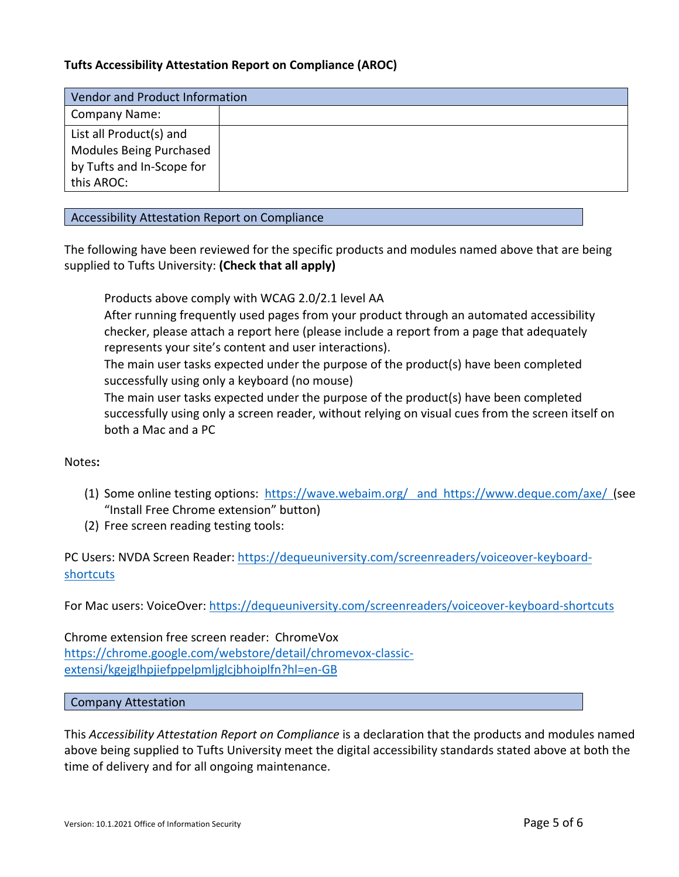## **Tufts Accessibility Attestation Report on Compliance (AROC)**

| Vendor and Product Information |  |
|--------------------------------|--|
| <b>Company Name:</b>           |  |
| List all Product(s) and        |  |
| <b>Modules Being Purchased</b> |  |
| by Tufts and In-Scope for      |  |
| this AROC:                     |  |

Accessibility Attestation Report on Compliance

The following have been reviewed for the specific products and modules named above that are being supplied to Tufts University: **(Check that all apply)**

Products above comply with WCAG 2.0/2.1 level AA

 After running frequently used pages from your product through an automated accessibility checker, please attach a report here (please include a report from a page that adequately represents your site's content and user interactions).

 The main user tasks expected under the purpose of the product(s) have been completed successfully using only a keyboard (no mouse)

 The main user tasks expected under the purpose of the product(s) have been completed successfully using only a screen reader, without relying on visual cues from the screen itself on both a Mac and a PC

Notes**:**

- (1) Some online testing options: https://wave.webaim.org/ and https://www.deque.com/axe/ (see "Install Free Chrome extension" button)
- (2) Free screen reading testing tools:

PC Users: NVDA Screen Reader: https://dequeuniversity.com/screenreaders/voiceover-keyboardshortcuts

For Mac users: VoiceOver: https://dequeuniversity.com/screenreaders/voiceover-keyboard-shortcuts

Chrome extension free screen reader: ChromeVox https://chrome.google.com/webstore/detail/chromevox-classicextensi/kgejglhpjiefppelpmljglcjbhoiplfn?hl=en-GB

Company Attestation

This *Accessibility Attestation Report on Compliance* is a declaration that the products and modules named above being supplied to Tufts University meet the digital accessibility standards stated above at both the time of delivery and for all ongoing maintenance.